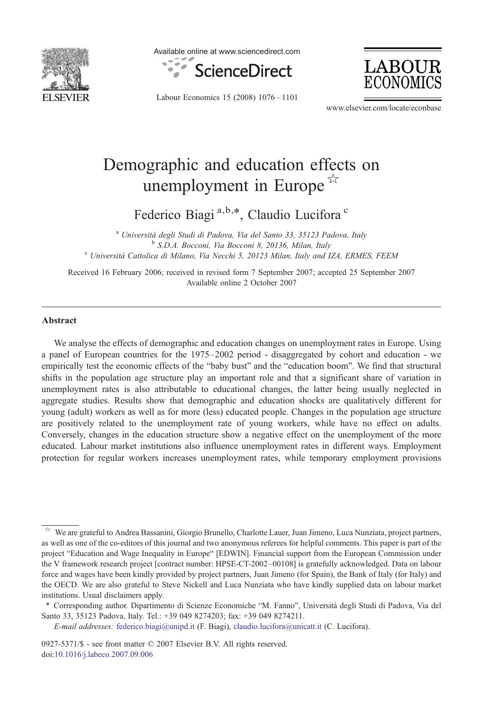

Available online at www.sciencedirect.com



Labour Economics 15 (2008) 1076–1101



www.elsevier.com/locate/econbase

## Demographic and education effects on unemployment in Europe  $\overline{x}$

Federico Biagi<sup>a,b,\*</sup>, Claudio Lucifora<sup>c</sup>

<sup>a</sup> Università degli Studi di Padova, Via del Santo 33, 35123 Padova, Italy b S.D.A. Bocconi, Via Bocconi 8, 20136, Milan, Italy <sup>c</sup> Università Cattolica di Milano, Via Necchi 5, 20123 Milan, Italy and IZA, ERMES, FEEM

Received 16 February 2006; received in revised form 7 September 2007; accepted 25 September 2007 Available online 2 October 2007

## Abstract

We analyse the effects of demographic and education changes on unemployment rates in Europe. Using a panel of European countries for the 1975–2002 period - disaggregated by cohort and education - we empirically test the economic effects of the "baby bust" and the "education boom". We find that structural shifts in the population age structure play an important role and that a significant share of variation in unemployment rates is also attributable to educational changes, the latter being usually neglected in aggregate studies. Results show that demographic and education shocks are qualitatively different for young (adult) workers as well as for more (less) educated people. Changes in the population age structure are positively related to the unemployment rate of young workers, while have no effect on adults. Conversely, changes in the education structure show a negative effect on the unemployment of the more educated. Labour market institutions also influence unemployment rates in different ways. Employment protection for regular workers increases unemployment rates, while temporary employment provisions

0927-5371/\$ - see front matter © 2007 Elsevier B.V. All rights reserved. doi[:10.1016/j.labeco.2007.09.006](http://dx.doi.org/10.1016/j.labeco.2007.09.006)

<sup>☆</sup> We are grateful to Andrea Bassanini, Giorgio Brunello, Charlotte Lauer, Juan Jimeno, Luca Nunziata, project partners, as well as one of the co-editors of this journal and two anonymous referees for helpful comments. This paper is part of the project "Education and Wage Inequality in Europe" [EDWIN]. Financial support from the European Commission under the V framework research project [contract number: HPSE-CT-2002–00108] is gratefully acknowledged. Data on labour force and wages have been kindly provided by project partners, Juan Jimeno (for Spain), the Bank of Italy (for Italy) and the OECD. We are also grateful to Steve Nickell and Luca Nunziata who have kindly supplied data on labour market institutions. Usual disclaimers apply.

<sup>⁎</sup> Corresponding author. Dipartimento di Scienze Economiche "M. Fanno", Università degli Studi di Padova, Via del Santo 33, 35123 Padova, Italy. Tel.: +39 049 8274203; fax: +39 049 8274211.

E-mail addresses: [federico.biagi@unipd.it](mailto:federico.biagi@unipd.it) (F. Biagi), [claudio.lucifora@unicatt.it](mailto:claudio.lucifora@unicatt.it) (C. Lucifora).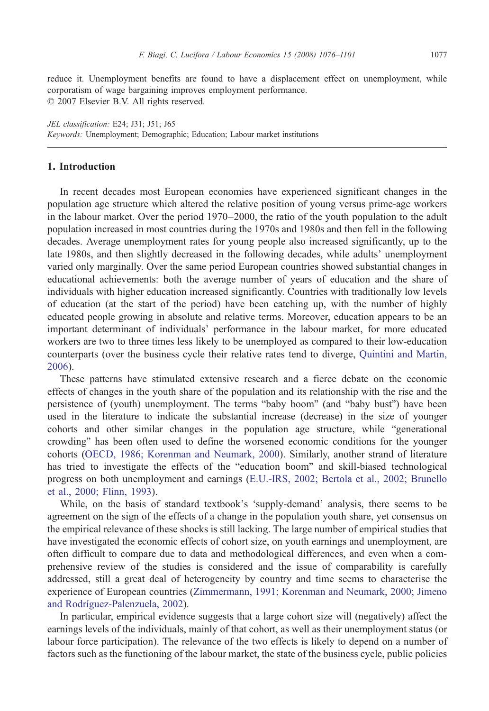reduce it. Unemployment benefits are found to have a displacement effect on unemployment, while corporatism of wage bargaining improves employment performance. © 2007 Elsevier B.V. All rights reserved.

JEL classification: E24; J31; J51; J65 Keywords: Unemployment; Demographic; Education; Labour market institutions

## 1. Introduction

In recent decades most European economies have experienced significant changes in the population age structure which altered the relative position of young versus prime-age workers in the labour market. Over the period 1970–2000, the ratio of the youth population to the adult population increased in most countries during the 1970s and 1980s and then fell in the following decades. Average unemployment rates for young people also increased significantly, up to the late 1980s, and then slightly decreased in the following decades, while adults' unemployment varied only marginally. Over the same period European countries showed substantial changes in educational achievements: both the average number of years of education and the share of individuals with higher education increased significantly. Countries with traditionally low levels of education (at the start of the period) have been catching up, with the number of highly educated people growing in absolute and relative terms. Moreover, education appears to be an important determinant of individuals' performance in the labour market, for more educated workers are two to three times less likely to be unemployed as compared to their low-education counterparts (over the business cycle their relative rates tend to diverge, [Quintini and Martin,](#page--1-0) [2006](#page--1-0)).

These patterns have stimulated extensive research and a fierce debate on the economic effects of changes in the youth share of the population and its relationship with the rise and the persistence of (youth) unemployment. The terms "baby boom" (and "baby bust") have been used in the literature to indicate the substantial increase (decrease) in the size of younger cohorts and other similar changes in the population age structure, while "generational crowding" has been often used to define the worsened economic conditions for the younger cohorts [\(OECD, 1986; Korenman and Neumark, 2000\)](#page--1-0). Similarly, another strand of literature has tried to investigate the effects of the "education boom" and skill-biased technological progress on both unemployment and earnings ([E.U.-IRS, 2002; Bertola et al., 2002; Brunello](#page--1-0) [et al., 2000; Flinn, 1993](#page--1-0)).

While, on the basis of standard textbook's 'supply-demand' analysis, there seems to be agreement on the sign of the effects of a change in the population youth share, yet consensus on the empirical relevance of these shocks is still lacking. The large number of empirical studies that have investigated the economic effects of cohort size, on youth earnings and unemployment, are often difficult to compare due to data and methodological differences, and even when a comprehensive review of the studies is considered and the issue of comparability is carefully addressed, still a great deal of heterogeneity by country and time seems to characterise the experience of European countries [\(Zimmermann, 1991; Korenman and Neumark, 2000; Jimeno](#page--1-0) [and Rodríguez-Palenzuela, 2002](#page--1-0)).

In particular, empirical evidence suggests that a large cohort size will (negatively) affect the earnings levels of the individuals, mainly of that cohort, as well as their unemployment status (or labour force participation). The relevance of the two effects is likely to depend on a number of factors such as the functioning of the labour market, the state of the business cycle, public policies